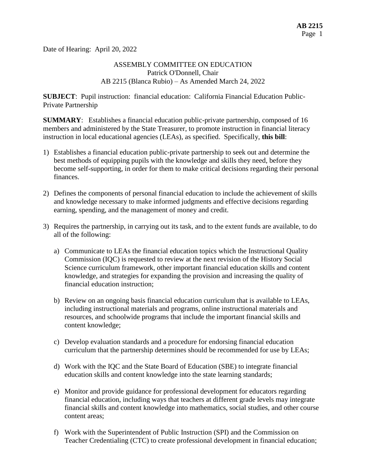Date of Hearing: April 20, 2022

#### ASSEMBLY COMMITTEE ON EDUCATION Patrick O'Donnell, Chair AB 2215 (Blanca Rubio) – As Amended March 24, 2022

**SUBJECT**: Pupil instruction: financial education: California Financial Education Public-Private Partnership

**SUMMARY**: Establishes a financial education public-private partnership, composed of 16 members and administered by the State Treasurer, to promote instruction in financial literacy instruction in local educational agencies (LEAs), as specified. Specifically, **this bill**:

- 1) Establishes a financial education public-private partnership to seek out and determine the best methods of equipping pupils with the knowledge and skills they need, before they become self-supporting, in order for them to make critical decisions regarding their personal finances.
- 2) Defines the components of personal financial education to include the achievement of skills and knowledge necessary to make informed judgments and effective decisions regarding earning, spending, and the management of money and credit.
- 3) Requires the partnership, in carrying out its task, and to the extent funds are available, to do all of the following:
	- a) Communicate to LEAs the financial education topics which the Instructional Quality Commission (IQC) is requested to review at the next revision of the History Social Science curriculum framework, other important financial education skills and content knowledge, and strategies for expanding the provision and increasing the quality of financial education instruction;
	- b) Review on an ongoing basis financial education curriculum that is available to LEAs, including instructional materials and programs, online instructional materials and resources, and schoolwide programs that include the important financial skills and content knowledge;
	- c) Develop evaluation standards and a procedure for endorsing financial education curriculum that the partnership determines should be recommended for use by LEAs;
	- d) Work with the IQC and the State Board of Education (SBE) to integrate financial education skills and content knowledge into the state learning standards;
	- e) Monitor and provide guidance for professional development for educators regarding financial education, including ways that teachers at different grade levels may integrate financial skills and content knowledge into mathematics, social studies, and other course content areas;
	- f) Work with the Superintendent of Public Instruction (SPI) and the Commission on Teacher Credentialing (CTC) to create professional development in financial education;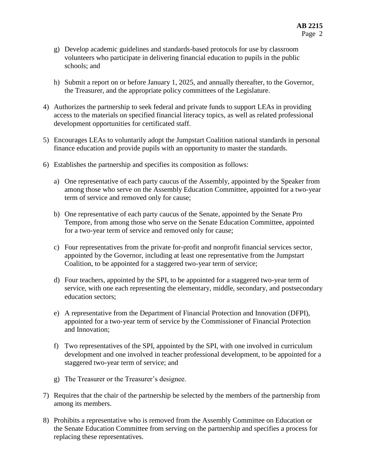- g) Develop academic guidelines and standards-based protocols for use by classroom volunteers who participate in delivering financial education to pupils in the public schools; and
- h) Submit a report on or before January 1, 2025, and annually thereafter, to the Governor, the Treasurer, and the appropriate policy committees of the Legislature.
- 4) Authorizes the partnership to seek federal and private funds to support LEAs in providing access to the materials on specified financial literacy topics, as well as related professional development opportunities for certificated staff.
- 5) Encourages LEAs to voluntarily adopt the Jumpstart Coalition national standards in personal finance education and provide pupils with an opportunity to master the standards.
- 6) Establishes the partnership and specifies its composition as follows:
	- a) One representative of each party caucus of the Assembly, appointed by the Speaker from among those who serve on the Assembly Education Committee, appointed for a two-year term of service and removed only for cause;
	- b) One representative of each party caucus of the Senate, appointed by the Senate Pro Tempore, from among those who serve on the Senate Education Committee, appointed for a two-year term of service and removed only for cause;
	- c) Four representatives from the private for-profit and nonprofit financial services sector, appointed by the Governor, including at least one representative from the Jumpstart Coalition, to be appointed for a staggered two-year term of service;
	- d) Four teachers, appointed by the SPI, to be appointed for a staggered two-year term of service, with one each representing the elementary, middle, secondary, and postsecondary education sectors;
	- e) A representative from the Department of Financial Protection and Innovation (DFPI), appointed for a two-year term of service by the Commissioner of Financial Protection and Innovation;
	- f) Two representatives of the SPI, appointed by the SPI, with one involved in curriculum development and one involved in teacher professional development, to be appointed for a staggered two-year term of service; and
	- g) The Treasurer or the Treasurer's designee.
- 7) Requires that the chair of the partnership be selected by the members of the partnership from among its members.
- 8) Prohibits a representative who is removed from the Assembly Committee on Education or the Senate Education Committee from serving on the partnership and specifies a process for replacing these representatives.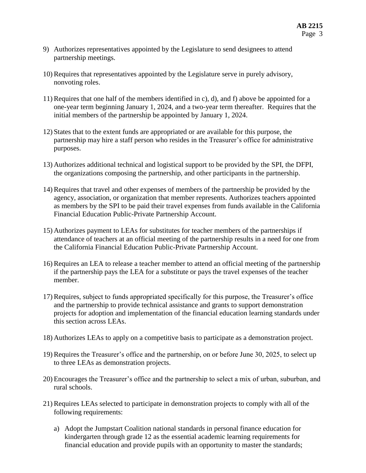- 9) Authorizes representatives appointed by the Legislature to send designees to attend partnership meetings.
- 10) Requires that representatives appointed by the Legislature serve in purely advisory, nonvoting roles.
- 11) Requires that one half of the members identified in c), d), and f) above be appointed for a one-year term beginning January 1, 2024, and a two-year term thereafter. Requires that the initial members of the partnership be appointed by January 1, 2024.
- 12) States that to the extent funds are appropriated or are available for this purpose, the partnership may hire a staff person who resides in the Treasurer's office for administrative purposes.
- 13) Authorizes additional technical and logistical support to be provided by the SPI, the DFPI, the organizations composing the partnership, and other participants in the partnership.
- 14) Requires that travel and other expenses of members of the partnership be provided by the agency, association, or organization that member represents. Authorizes teachers appointed as members by the SPI to be paid their travel expenses from funds available in the California Financial Education Public-Private Partnership Account.
- 15) Authorizes payment to LEAs for substitutes for teacher members of the partnerships if attendance of teachers at an official meeting of the partnership results in a need for one from the California Financial Education Public-Private Partnership Account.
- 16) Requires an LEA to release a teacher member to attend an official meeting of the partnership if the partnership pays the LEA for a substitute or pays the travel expenses of the teacher member.
- 17) Requires, subject to funds appropriated specifically for this purpose, the Treasurer's office and the partnership to provide technical assistance and grants to support demonstration projects for adoption and implementation of the financial education learning standards under this section across LEAs.
- 18) Authorizes LEAs to apply on a competitive basis to participate as a demonstration project.
- 19) Requires the Treasurer's office and the partnership, on or before June 30, 2025, to select up to three LEAs as demonstration projects.
- 20) Encourages the Treasurer's office and the partnership to select a mix of urban, suburban, and rural schools.
- 21) Requires LEAs selected to participate in demonstration projects to comply with all of the following requirements:
	- a) Adopt the Jumpstart Coalition national standards in personal finance education for kindergarten through grade 12 as the essential academic learning requirements for financial education and provide pupils with an opportunity to master the standards;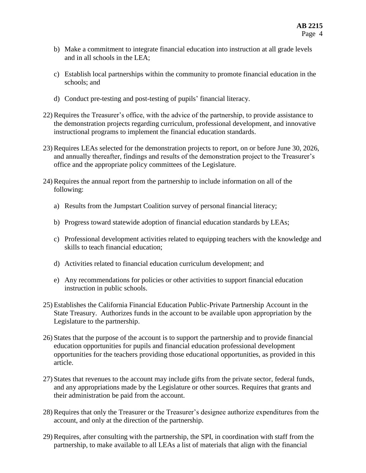- b) Make a commitment to integrate financial education into instruction at all grade levels and in all schools in the LEA;
- c) Establish local partnerships within the community to promote financial education in the schools; and
- d) Conduct pre-testing and post-testing of pupils' financial literacy.
- 22) Requires the Treasurer's office, with the advice of the partnership, to provide assistance to the demonstration projects regarding curriculum, professional development, and innovative instructional programs to implement the financial education standards.
- 23) Requires LEAs selected for the demonstration projects to report, on or before June 30, 2026, and annually thereafter, findings and results of the demonstration project to the Treasurer's office and the appropriate policy committees of the Legislature.
- 24) Requires the annual report from the partnership to include information on all of the following:
	- a) Results from the Jumpstart Coalition survey of personal financial literacy;
	- b) Progress toward statewide adoption of financial education standards by LEAs;
	- c) Professional development activities related to equipping teachers with the knowledge and skills to teach financial education;
	- d) Activities related to financial education curriculum development; and
	- e) Any recommendations for policies or other activities to support financial education instruction in public schools.
- 25) Establishes the California Financial Education Public-Private Partnership Account in the State Treasury. Authorizes funds in the account to be available upon appropriation by the Legislature to the partnership.
- 26) States that the purpose of the account is to support the partnership and to provide financial education opportunities for pupils and financial education professional development opportunities for the teachers providing those educational opportunities, as provided in this article.
- 27) States that revenues to the account may include gifts from the private sector, federal funds, and any appropriations made by the Legislature or other sources. Requires that grants and their administration be paid from the account.
- 28) Requires that only the Treasurer or the Treasurer's designee authorize expenditures from the account, and only at the direction of the partnership.
- 29) Requires, after consulting with the partnership, the SPI, in coordination with staff from the partnership, to make available to all LEAs a list of materials that align with the financial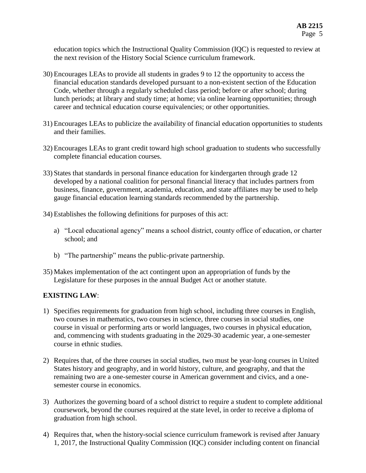education topics which the Instructional Quality Commission (IQC) is requested to review at the next revision of the History Social Science curriculum framework.

- 30) Encourages LEAs to provide all students in grades 9 to 12 the opportunity to access the financial education standards developed pursuant to a non-existent section of the Education Code, whether through a regularly scheduled class period; before or after school; during lunch periods; at library and study time; at home; via online learning opportunities; through career and technical education course equivalencies; or other opportunities.
- 31) Encourages LEAs to publicize the availability of financial education opportunities to students and their families.
- 32) Encourages LEAs to grant credit toward high school graduation to students who successfully complete financial education courses.
- 33) States that standards in personal finance education for kindergarten through grade 12 developed by a national coalition for personal financial literacy that includes partners from business, finance, government, academia, education, and state affiliates may be used to help gauge financial education learning standards recommended by the partnership.
- 34) Establishes the following definitions for purposes of this act:
	- a) "Local educational agency" means a school district, county office of education, or charter school; and
	- b) "The partnership" means the public-private partnership.
- 35) Makes implementation of the act contingent upon an appropriation of funds by the Legislature for these purposes in the annual Budget Act or another statute.

### **EXISTING LAW**:

- 1) Specifies requirements for graduation from high school, including three courses in English, two courses in mathematics, two courses in science, three courses in social studies, one course in visual or performing arts or world languages, two courses in physical education, and, commencing with students graduating in the 2029-30 academic year, a one-semester course in ethnic studies.
- 2) Requires that, of the three courses in social studies, two must be year-long courses in United States history and geography, and in world history, culture, and geography, and that the remaining two are a one-semester course in American government and civics, and a onesemester course in economics.
- 3) Authorizes the governing board of a school district to require a student to complete additional coursework, beyond the courses required at the state level, in order to receive a diploma of graduation from high school.
- 4) Requires that, when the history-social science curriculum framework is revised after January 1, 2017, the Instructional Quality Commission (IQC) consider including content on financial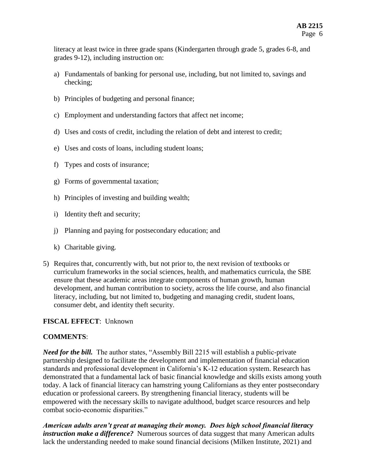literacy at least twice in three grade spans (Kindergarten through grade 5, grades 6-8, and grades 9-12), including instruction on:

- a) Fundamentals of banking for personal use, including, but not limited to, savings and checking;
- b) Principles of budgeting and personal finance;
- c) Employment and understanding factors that affect net income;
- d) Uses and costs of credit, including the relation of debt and interest to credit;
- e) Uses and costs of loans, including student loans;
- f) Types and costs of insurance;
- g) Forms of governmental taxation;
- h) Principles of investing and building wealth;
- i) Identity theft and security;
- j) Planning and paying for postsecondary education; and
- k) Charitable giving.
- 5) Requires that, concurrently with, but not prior to, the next revision of textbooks or curriculum frameworks in the social sciences, health, and mathematics curricula, the SBE ensure that these academic areas integrate components of human growth, human development, and human contribution to society, across the life course, and also financial literacy, including, but not limited to, budgeting and managing credit, student loans, consumer debt, and identity theft security.

## **FISCAL EFFECT**: Unknown

### **COMMENTS**:

*Need for the bill.* The author states, "Assembly Bill 2215 will establish a public-private partnership designed to facilitate the development and implementation of financial education standards and professional development in California's K-12 education system. Research has demonstrated that a fundamental lack of basic financial knowledge and skills exists among youth today. A lack of financial literacy can hamstring young Californians as they enter postsecondary education or professional careers. By strengthening financial literacy, students will be empowered with the necessary skills to navigate adulthood, budget scarce resources and help combat socio-economic disparities."

*American adults aren't great at managing their money. Does high school financial literacy instruction make a difference?* Numerous sources of data suggest that many American adults lack the understanding needed to make sound financial decisions (Milken Institute, 2021) and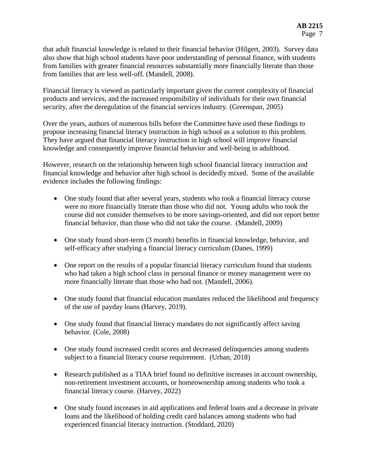that adult financial knowledge is related to their financial behavior (Hilgert, 2003). Survey data also show that high school students have poor understanding of personal finance, with students from families with greater financial resources substantially more financially literate than those from families that are less well-off. (Mandell, 2008).

Financial literacy is viewed as particularly important given the current complexity of financial products and services, and the increased responsibility of individuals for their own financial security, after the deregulation of the financial services industry. (Greenspan, 2005)

Over the years, authors of numerous bills before the Committee have used these findings to propose increasing financial literacy instruction in high school as a solution to this problem. They have argued that financial literacy instruction in high school will improve financial knowledge and consequently improve financial behavior and well-being in adulthood.

However, research on the relationship between high school financial literacy instruction and financial knowledge and behavior after high school is decidedly mixed. Some of the available evidence includes the following findings:

- One study found that after several years, students who took a financial literacy course were no more financially literate than those who did not. Young adults who took the course did not consider themselves to be more savings-oriented, and did not report better financial behavior, than those who did not take the course. (Mandell, 2009)
- One study found short-term (3 month) benefits in financial knowledge, behavior, and self-efficacy after studying a financial literacy curriculum (Danes, 1999)
- One report on the results of a popular financial literacy curriculum found that students who had taken a high school class in personal finance or money management were no more financially literate than those who had not. (Mandell, 2006).
- One study found that financial education mandates reduced the likelihood and frequency of the use of payday loans (Harvey, 2019).
- One study found that financial literacy mandates do not significantly affect saving behavior. (Cole, 2008)
- One study found increased credit scores and decreased delinquencies among students subject to a financial literacy course requirement. (Urban, 2018)
- Research published as a TIAA brief found no definitive increases in account ownership, non-retirement investment accounts, or homeownership among students who took a financial literacy course. (Harvey, 2022)
- One study found increases in aid applications and federal loans and a decrease in private loans and the likelihood of holding credit card balances among students who had experienced financial literacy instruction. (Stoddard, 2020)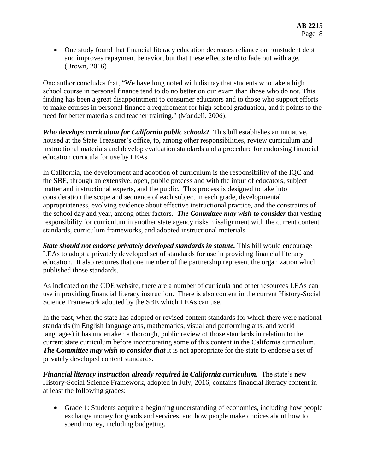• One study found that financial literacy education decreases reliance on nonstudent debt and improves repayment behavior, but that these effects tend to fade out with age. (Brown, 2016)

One author concludes that, "We have long noted with dismay that students who take a high school course in personal finance tend to do no better on our exam than those who do not. This finding has been a great disappointment to consumer educators and to those who support efforts to make courses in personal finance a requirement for high school graduation, and it points to the need for better materials and teacher training." (Mandell, 2006).

*Who develops curriculum for California public schools?* This bill establishes an initiative, housed at the State Treasurer's office, to, among other responsibilities, review curriculum and instructional materials and develop evaluation standards and a procedure for endorsing financial education curricula for use by LEAs.

In California, the development and adoption of curriculum is the responsibility of the IQC and the SBE, through an extensive, open, public process and with the input of educators, subject matter and instructional experts, and the public. This process is designed to take into consideration the scope and sequence of each subject in each grade, developmental appropriateness, evolving evidence about effective instructional practice, and the constraints of the school day and year, among other factors. *The Committee may wish to consider* that vesting responsibility for curriculum in another state agency risks misalignment with the current content standards, curriculum frameworks, and adopted instructional materials.

*State should not endorse privately developed standards in statute.* This bill would encourage LEAs to adopt a privately developed set of standards for use in providing financial literacy education. It also requires that one member of the partnership represent the organization which published those standards.

As indicated on the CDE website, there are a number of curricula and other resources LEAs can use in providing financial literacy instruction. There is also content in the current History-Social Science Framework adopted by the SBE which LEAs can use.

In the past, when the state has adopted or revised content standards for which there were national standards (in English language arts, mathematics, visual and performing arts, and world languages) it has undertaken a thorough, public review of those standards in relation to the current state curriculum before incorporating some of this content in the California curriculum. *The Committee may wish to consider that* it is not appropriate for the state to endorse a set of privately developed content standards.

*Financial literacy instruction already required in California curriculum.* The state's new History-Social Science Framework, adopted in July, 2016, contains financial literacy content in at least the following grades:

 Grade 1: Students acquire a beginning understanding of economics, including how people exchange money for goods and services, and how people make choices about how to spend money, including budgeting.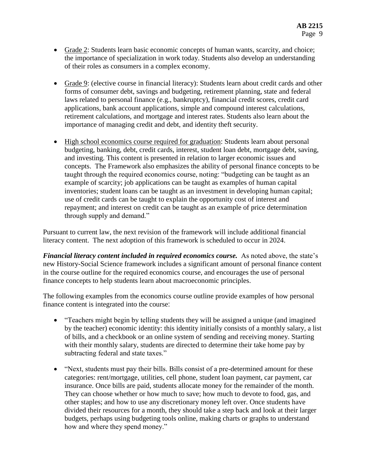- Grade 2: Students learn basic economic concepts of human wants, scarcity, and choice; the importance of specialization in work today. Students also develop an understanding of their roles as consumers in a complex economy.
- Grade 9: (elective course in financial literacy): Students learn about credit cards and other forms of consumer debt, savings and budgeting, retirement planning, state and federal laws related to personal finance (e.g., bankruptcy), financial credit scores, credit card applications, bank account applications, simple and compound interest calculations, retirement calculations, and mortgage and interest rates. Students also learn about the importance of managing credit and debt, and identity theft security.
- High school economics course required for graduation: Students learn about personal budgeting, banking, debt, credit cards, interest, student loan debt, mortgage debt, saving, and investing. This content is presented in relation to larger economic issues and concepts. The Framework also emphasizes the ability of personal finance concepts to be taught through the required economics course, noting: "budgeting can be taught as an example of scarcity; job applications can be taught as examples of human capital inventories; student loans can be taught as an investment in developing human capital; use of credit cards can be taught to explain the opportunity cost of interest and repayment; and interest on credit can be taught as an example of price determination through supply and demand."

Pursuant to current law, the next revision of the framework will include additional financial literacy content. The next adoption of this framework is scheduled to occur in 2024.

*Financial literacy content included in required economics course.* As noted above, the state's new History-Social Science framework includes a significant amount of personal finance content in the course outline for the required economics course, and encourages the use of personal finance concepts to help students learn about macroeconomic principles.

The following examples from the economics course outline provide examples of how personal finance content is integrated into the course:

- "Teachers might begin by telling students they will be assigned a unique (and imagined by the teacher) economic identity: this identity initially consists of a monthly salary, a list of bills, and a checkbook or an online system of sending and receiving money. Starting with their monthly salary, students are directed to determine their take home pay by subtracting federal and state taxes."
- "Next, students must pay their bills. Bills consist of a pre-determined amount for these categories: rent/mortgage, utilities, cell phone, student loan payment, car payment, car insurance. Once bills are paid, students allocate money for the remainder of the month. They can choose whether or how much to save; how much to devote to food, gas, and other staples; and how to use any discretionary money left over. Once students have divided their resources for a month, they should take a step back and look at their larger budgets, perhaps using budgeting tools online, making charts or graphs to understand how and where they spend money."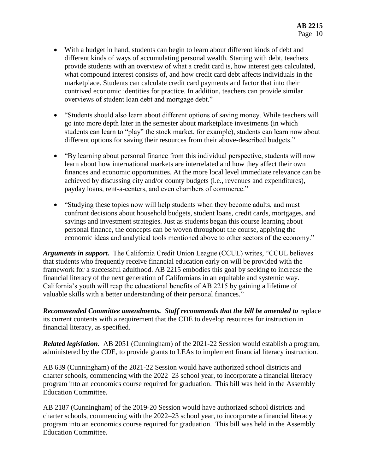- With a budget in hand, students can begin to learn about different kinds of debt and different kinds of ways of accumulating personal wealth. Starting with debt, teachers provide students with an overview of what a credit card is, how interest gets calculated, what compound interest consists of, and how credit card debt affects individuals in the marketplace. Students can calculate credit card payments and factor that into their contrived economic identities for practice. In addition, teachers can provide similar overviews of student loan debt and mortgage debt."
- "Students should also learn about different options of saving money. While teachers will go into more depth later in the semester about marketplace investments (in which students can learn to "play" the stock market, for example), students can learn now about different options for saving their resources from their above-described budgets."
- "By learning about personal finance from this individual perspective, students will now learn about how international markets are interrelated and how they affect their own finances and economic opportunities. At the more local level immediate relevance can be achieved by discussing city and/or county budgets (i.e., revenues and expenditures), payday loans, rent-a-centers, and even chambers of commerce."
- "Studying these topics now will help students when they become adults, and must confront decisions about household budgets, student loans, credit cards, mortgages, and savings and investment strategies. Just as students began this course learning about personal finance, the concepts can be woven throughout the course, applying the economic ideas and analytical tools mentioned above to other sectors of the economy."

*Arguments in support.* The California Credit Union League (CCUL) writes, "CCUL believes that students who frequently receive financial education early on will be provided with the framework for a successful adulthood. AB 2215 embodies this goal by seeking to increase the financial literacy of the next generation of Californians in an equitable and systemic way. California's youth will reap the educational benefits of AB 2215 by gaining a lifetime of valuable skills with a better understanding of their personal finances."

*Recommended Committee amendments. Staff recommends that the bill be amended to* replace its current contents with a requirement that the CDE to develop resources for instruction in financial literacy, as specified.

*Related legislation.* AB 2051 (Cunningham) of the 2021-22 Session would establish a program, administered by the CDE, to provide grants to LEAs to implement financial literacy instruction.

AB 639 (Cunningham) of the 2021-22 Session would have authorized school districts and charter schools, commencing with the 2022–23 school year, to incorporate a financial literacy program into an economics course required for graduation. This bill was held in the Assembly Education Committee.

AB 2187 (Cunningham) of the 2019-20 Session would have authorized school districts and charter schools, commencing with the 2022–23 school year, to incorporate a financial literacy program into an economics course required for graduation. This bill was held in the Assembly Education Committee.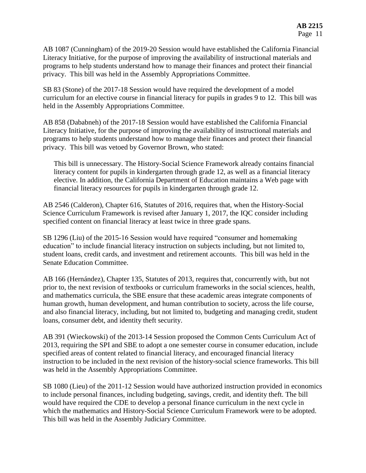AB 1087 (Cunningham) of the 2019-20 Session would have established the California Financial Literacy Initiative, for the purpose of improving the availability of instructional materials and programs to help students understand how to manage their finances and protect their financial privacy. This bill was held in the Assembly Appropriations Committee.

SB 83 (Stone) of the 2017-18 Session would have required the development of a model curriculum for an elective course in financial literacy for pupils in grades 9 to 12. This bill was held in the Assembly Appropriations Committee.

AB 858 (Dababneh) of the 2017-18 Session would have established the California Financial Literacy Initiative, for the purpose of improving the availability of instructional materials and programs to help students understand how to manage their finances and protect their financial privacy. This bill was vetoed by Governor Brown, who stated:

This bill is unnecessary. The History-Social Science Framework already contains financial literacy content for pupils in kindergarten through grade 12, as well as a financial literacy elective. In addition, the California Department of Education maintains a Web page with financial literacy resources for pupils in kindergarten through grade 12.

AB 2546 (Calderon), Chapter 616, Statutes of 2016, requires that, when the History-Social Science Curriculum Framework is revised after January 1, 2017, the IQC consider including specified content on financial literacy at least twice in three grade spans.

SB 1296 (Liu) of the 2015-16 Session would have required "consumer and homemaking education" to include financial literacy instruction on subjects including, but not limited to, student loans, credit cards, and investment and retirement accounts. This bill was held in the Senate Education Committee.

AB 166 (Hernández), Chapter 135, Statutes of 2013, requires that, concurrently with, but not prior to, the next revision of textbooks or curriculum frameworks in the social sciences, health, and mathematics curricula, the SBE ensure that these academic areas integrate components of human growth, human development, and human contribution to society, across the life course, and also financial literacy, including, but not limited to, budgeting and managing credit, student loans, consumer debt, and identity theft security.

AB 391 (Wieckowski) of the 2013-14 Session proposed the Common Cents Curriculum Act of 2013, requiring the SPI and SBE to adopt a one semester course in consumer education, include specified areas of content related to financial literacy, and encouraged financial literacy instruction to be included in the next revision of the history-social science frameworks. This bill was held in the Assembly Appropriations Committee.

SB 1080 (Lieu) of the 2011-12 Session would have authorized instruction provided in economics to include personal finances, including budgeting, savings, credit, and identity theft. The bill would have required the CDE to develop a personal finance curriculum in the next cycle in which the mathematics and History-Social Science Curriculum Framework were to be adopted. This bill was held in the Assembly Judiciary Committee.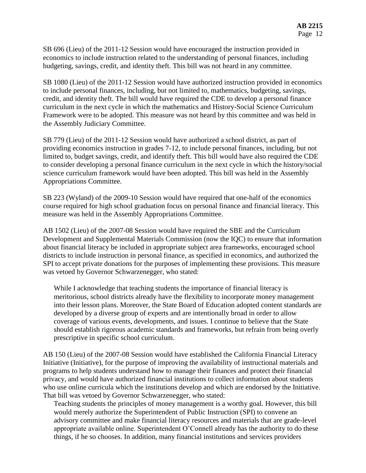SB 696 (Lieu) of the 2011-12 Session would have encouraged the instruction provided in economics to include instruction related to the understanding of personal finances, including budgeting, savings, credit, and identity theft. This bill was not heard in any committee.

SB 1080 (Lieu) of the 2011-12 Session would have authorized instruction provided in economics to include personal finances, including, but not limited to, mathematics, budgeting, savings, credit, and identity theft. The bill would have required the CDE to develop a personal finance curriculum in the next cycle in which the mathematics and History-Social Science Curriculum Framework were to be adopted. This measure was not heard by this committee and was held in the Assembly Judiciary Committee.

SB 779 (Lieu) of the 2011-12 Session would have authorized a school district, as part of providing economics instruction in grades 7-12, to include personal finances, including, but not limited to, budget savings, credit, and identify theft. This bill would have also required the CDE to consider developing a personal finance curriculum in the next cycle in which the history/social science curriculum framework would have been adopted. This bill was held in the Assembly Appropriations Committee.

SB 223 (Wyland) of the 2009-10 Session would have required that one-half of the economics course required for high school graduation focus on personal finance and financial literacy. This measure was held in the Assembly Appropriations Committee.

AB 1502 (Lieu) of the 2007-08 Session would have required the SBE and the Curriculum Development and Supplemental Materials Commission (now the IQC) to ensure that information about financial literacy be included in appropriate subject area frameworks, encouraged school districts to include instruction in personal finance, as specified in economics, and authorized the SPI to accept private donations for the purposes of implementing these provisions. This measure was vetoed by Governor Schwarzenegger, who stated:

While I acknowledge that teaching students the importance of financial literacy is meritorious, school districts already have the flexibility to incorporate money management into their lesson plans. Moreover, the State Board of Education adopted content standards are developed by a diverse group of experts and are intentionally broad in order to allow coverage of various events, developments, and issues. I continue to believe that the State should establish rigorous academic standards and frameworks, but refrain from being overly prescriptive in specific school curriculum.

AB 150 (Lieu) of the 2007-08 Session would have established the California Financial Literacy Initiative (Initiative), for the purpose of improving the availability of instructional materials and programs to help students understand how to manage their finances and protect their financial privacy, and would have authorized financial institutions to collect information about students who use online curricula which the institutions develop and which are endorsed by the Initiative. That bill was vetoed by Governor Schwarzenegger, who stated:

Teaching students the principles of money management is a worthy goal. However, this bill would merely authorize the Superintendent of Public Instruction (SPI) to convene an advisory committee and make financial literacy resources and materials that are grade-level appropriate available online. Superintendent O'Connell already has the authority to do these things, if he so chooses. In addition, many financial institutions and services providers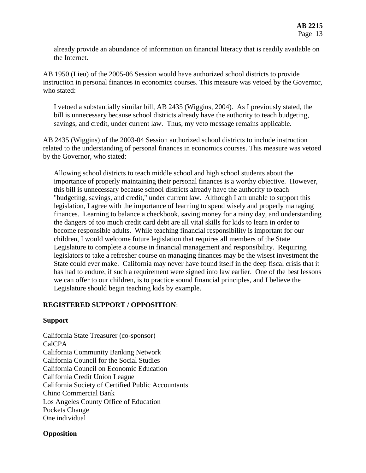already provide an abundance of information on financial literacy that is readily available on the Internet.

AB 1950 (Lieu) of the 2005-06 Session would have authorized school districts to provide instruction in personal finances in economics courses. This measure was vetoed by the Governor, who stated:

I vetoed a substantially similar bill, AB 2435 (Wiggins, 2004). As I previously stated, the bill is unnecessary because school districts already have the authority to teach budgeting, savings, and credit, under current law. Thus, my veto message remains applicable.

AB 2435 (Wiggins) of the 2003-04 Session authorized school districts to include instruction related to the understanding of personal finances in economics courses. This measure was vetoed by the Governor, who stated:

Allowing school districts to teach middle school and high school students about the importance of properly maintaining their personal finances is a worthy objective. However, this bill is unnecessary because school districts already have the authority to teach "budgeting, savings, and credit," under current law. Although I am unable to support this legislation, I agree with the importance of learning to spend wisely and properly managing finances. Learning to balance a checkbook, saving money for a rainy day, and understanding the dangers of too much credit card debt are all vital skills for kids to learn in order to become responsible adults. While teaching financial responsibility is important for our children, I would welcome future legislation that requires all members of the State Legislature to complete a course in financial management and responsibility. Requiring legislators to take a refresher course on managing finances may be the wisest investment the State could ever make. California may never have found itself in the deep fiscal crisis that it has had to endure, if such a requirement were signed into law earlier. One of the best lessons we can offer to our children, is to practice sound financial principles, and I believe the Legislature should begin teaching kids by example.

### **REGISTERED SUPPORT / OPPOSITION**:

#### **Support**

California State Treasurer (co-sponsor) CalCPA California Community Banking Network California Council for the Social Studies California Council on Economic Education California Credit Union League California Society of Certified Public Accountants Chino Commercial Bank Los Angeles County Office of Education Pockets Change One individual

### **Opposition**